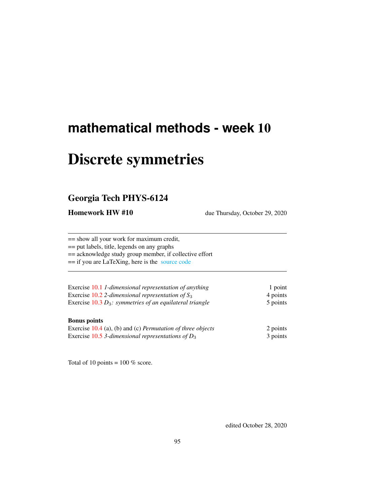# **mathematical methods - week** 10

# Discrete symmetries

# Georgia Tech PHYS-6124

Homework HW #10 due Thursday, October 29, 2020

== show all your work for maximum credit, == put labels, title, legends on any graphs == acknowledge study group member, if collective effort == if you are LaTeXing, here is the [source code](http://ChaosBook.org/~predrag/courses/PHYS-6124-20/exerWeek10.tex)

| Exercise 10.1 1-dimensional representation of anything      | 1 point  |  |
|-------------------------------------------------------------|----------|--|
| Exercise 10.2 2-dimensional representation of $S_3$         | 4 points |  |
| Exercise $10.3 D_3$ : symmetries of an equilateral triangle | 5 points |  |
|                                                             |          |  |

## Bonus points

| Exercise $10.4$ (a), (b) and (c) <i>Permutation of three objects</i> | 2 points |
|----------------------------------------------------------------------|----------|
| Exercise 10.5 3-dimensional representations of $D_3$                 | 3 points |

Total of 10 points =  $100\%$  score.

edited October 28, 2020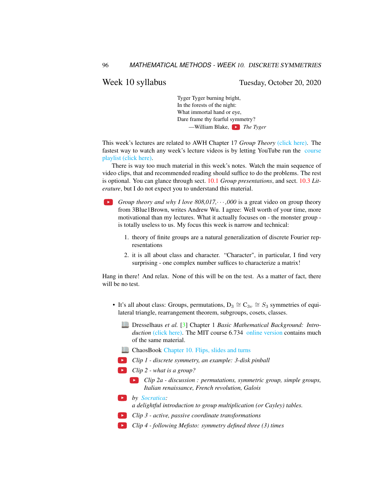Week 10 syllabus Tuesday, October 20, 2020

Tyger Tyger burning bright, In the forests of the night: What immortal hand or eye, Dare frame thy fearful symmetry? —William Blake, *The Tyger*

This week's lectures are related to AWH Chapter 17 *Group Theory* [\(click here\).](http://ChaosBook.org/library/ArWeHa13chap17Group-Theory.pdf) The fastest way to watch any week's lecture videos is by letting YouTube run the [course](https://www.youtube.com/watch?v=3-IOimSbJV4&list=PLVcaOb64gCp-J115RvfOhE1Yb4s584Mho&index=90&t=0s) [playlist \(click here\).](https://www.youtube.com/watch?v=3-IOimSbJV4&list=PLVcaOb64gCp-J115RvfOhE1Yb4s584Mho&index=90&t=0s)

There is way too much material in this week's notes. Watch the main sequence of video clips, that and recommended reading should suffice to do the problems. The rest is optional. You can glance through sect. [10.1](#page-3-0) *Group presentations*, and sect. [10.3](#page-8-0) *Literature*, but I do not expect you to understand this material.

- **Group theory and why I love 808,017,**  $\cdots$ **,000 is a great video on group theory** from 3Blue1Brown, writes Andrew Wu. I agree: Well worth of your time, more motivational than my lectures. What it actually focuses on - the monster group is totally useless to us. My focus this week is narrow and technical:
	- 1. theory of finite groups are a natural generalization of discrete Fourier representations
	- 2. it is all about class and character. "Character", in particular, I find very surprising - one complex number suffices to characterize a matrix!

Hang in there! And relax. None of this will be on the test. As a matter of fact, there will be no test.

- It's all about class: Groups, permutations,  $D_3 \cong C_{3v} \cong S_3$  symmetries of equilateral triangle, rearrangement theorem, subgroups, cosets, classes.
	- Dresselhaus *et al.* [\[3\]](#page-8-1) Chapter 1 *Basic Mathematical Background: Introduction* [\(click here\).](http://ChaosBook.org/library/Dresselhaus07.pdf) The MIT course 6.734 [online version](http://stuff.mit.edu/afs/athena/course/6/6.734j/www/) contains much of the same material.
	- ChaosBook [Chapter 10. Flips, slides and turns](http://ChaosBook.org/chapters/ChaosBook.pdf#chapter.10)
	- *Clip 1 discrete symmetry, an example: 3-disk pinball*
	- *Clip 2 what is a group?*
		- *Clip 2a discussion : permutations, symmetric group, simple groups, Italian renaissance, French revolution, Galois*
	- *by [Socratica:](https://www.youtube.com/playlist?list=PLi01XoE8jYoi3SgnnGorR_XOW3IcK-TP6) a delightful introduction to group multiplication (or Cayley) tables.*
	- *Clip 3 active, passive coordinate transformations*
	- *Clip 4 following Mefisto: symmetry defined three (3) times*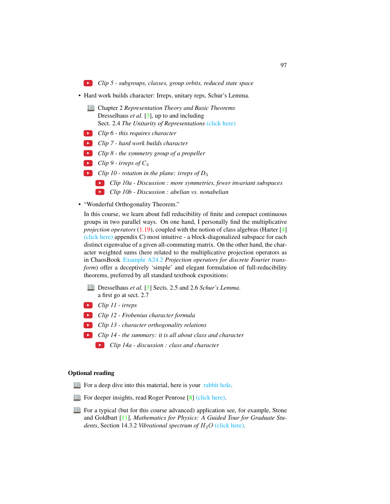*Clip 5 - subgroups, classes, group orbits, reduced state space*

- Hard work builds character: Irreps, unitary reps, Schur's Lemma.
	- Chapter 2 *Representation Theory and Basic Theorems* Dresselhaus *et al.* [\[3\]](#page-8-1), up to and including Sect. 2.4 *The Unitarity of Representations* [\(click here\)](http://ChaosBook.org/library/Dresselhaus07sect2_4.pdf)
	- *Clip 6 this requires character*
	- *Clip 7 hard work builds character*
	- *Clip 8 the symmetry group of a propeller*
	- *Clip 9 irreps of C*<sup>3</sup>
	- *Clip 10 rotation in the plane: irreps of D*<sup>3</sup>
		- *Clip 10a Discussion : more symmetries, fewer invariant subspaces*
		- *Clip 10b Discussion : abelian vs. nonabelian*
- "Wonderful Orthogonality Theorem."

In this course, we learn about full reducibility of finite and compact continuous groups in two parallel ways. On one hand, I personally find the multiplicative *projection operators* (1.19), coupled with the notion of class algebras (Harter [\[4\]](#page-8-2) [\(click here\)](http://ChaosBook.org/library/Harter78.pdf) appendix C) most intuitive - a block-diagonalized subspace for each distinct eigenvalue of a given all-commuting matrix. On the other hand, the character weighted sums (here related to the multiplicative projection operators as in ChaosBook [Example A24.2](http://ChaosBook.org/chapters/ChaosBook.pdf#section.X.6) *Projection operators for discrete Fourier transform*) offer a deceptively 'simple' and elegant formulation of full-reducibility theorems, preferred by all standard textbook expositions:

- Dresselhaus *et al.* [\[3\]](#page-8-1) Sects. 2.5 and 2.6 *Schur's Lemma*. a first go at sect. 2.7
- *Clip 11 irreps*
- *Clip 12 Frobenius character formula*
- *Clip 13 character orthogonality relations*
- *Clip 14 the summary: it is all about class and character*
	- *Clip 14a discussion : class and character*

#### Optional reading

- For a deep dive into this material, here is your [rabbit hole.](http://birdtracks.eu/courses/PHYS-7143-19/index.html)
- For deeper insights, read Roger Penrose [\[8\]](#page-9-0) [\(click here\).](http://ChaosBook.org/library/Penr04-13.pdf)
- For a typical (but for this course advanced) application see, for example, Stone and Goldbart [\[11\]](#page-9-1), *Mathematics for Physics: A Guided Tour for Graduate Students*, Section 14.3.2 *Vibrational spectrum of*  $H_2O$  [\(click here\).](http://ChaosBook.org/library/StGo09.pdf)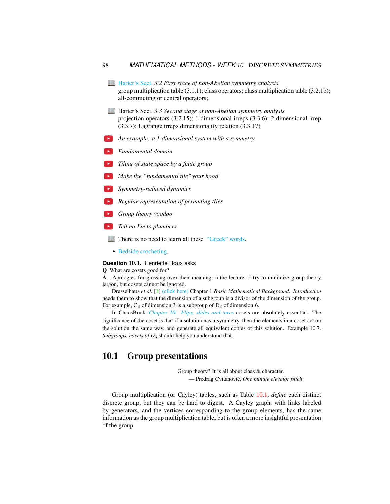- [Harter's Sect.](http://www.uark.edu/ua/modphys/markup/PSDS_UnitsForceDL.php?fname=PSDS_Ch.3_(4.22.10).pdf) *3.2 First stage of non-Abelian symmetry analysis* group multiplication table (3.1.1); class operators; class multiplication table (3.2.1b); all-commuting or central operators;
- Harter's Sect. *3.3 Second stage of non-Abelian symmetry analysis* projection operators (3.2.15); 1-dimensional irreps (3.3.6); 2-dimensional irrep (3.3.7); Lagrange irreps dimensionality relation (3.3.17)
- *An example: a 1-dimensional system with a symmetry*
- *Fundamental domain*
- *Tiling of state space by a finite group*
- *Make the "fundamental tile" your hood*
- *Symmetry-reduced dynamics*
- *Regular representation of permuting tiles*
- *Group theory voodoo*
- *Tell no Lie to plumbers*
	- There is no need to learn all these ["Greek" words.](http://www.theonion.com/articles/historians-admit-to-inventing-ancient-greeks,18209/)
		- [Bedside crocheting.](http://www.theiff.org/oexhibits/oe1e.html)

#### **Question** 10.1. Henriette Roux asks

#### Q What are cosets good for?

A Apologies for glossing over their meaning in the lecture. I try to minimize group-theory jargon, but cosets cannot be ignored.

Dresselhaus *et al.* [\[3\]](#page-8-1) [\(click here\)](http://ChaosBook.org/library/Dresselhaus07.pdf) Chapter 1 *Basic Mathematical Background: Introduction* needs them to show that the dimension of a subgroup is a divisor of the dimension of the group. For example,  $C_3$  of dimension 3 is a subgroup of  $D_3$  of dimension 6.

In ChaosBook *[Chapter 10. Flips, slides and turns](http://ChaosBook.org/chapters/ChaosBook.pdf#chapter.10)* cosets are absolutely essential. The significance of the coset is that if a solution has a symmetry, then the elements in a coset act on the solution the same way, and generate all equivalent copies of this solution. Example 10.7. *Subgroups, cosets of D*<sup>3</sup> should help you understand that.

# <span id="page-3-0"></span>10.1 Group presentations

Group theory? It is all about class & character. — Predrag Cvitanovic,´ *One minute elevator pitch*

Group multiplication (or Cayley) tables, such as Table [10.1,](#page-4-0) *define* each distinct discrete group, but they can be hard to digest. A Cayley graph, with links labeled by generators, and the vertices corresponding to the group elements, has the same information as the group multiplication table, but is often a more insightful presentation of the group.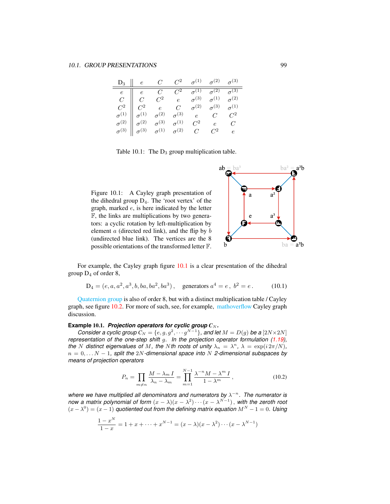| $D_3$    e C C <sup>2</sup> $\sigma$ <sup>(1)</sup> $\sigma$ <sup>(2)</sup> $\sigma$ <sup>(3)</sup> |  |  |                                                                                                                                                                                                                                                                                                                                                                                                                                          |
|-----------------------------------------------------------------------------------------------------|--|--|------------------------------------------------------------------------------------------------------------------------------------------------------------------------------------------------------------------------------------------------------------------------------------------------------------------------------------------------------------------------------------------------------------------------------------------|
|                                                                                                     |  |  |                                                                                                                                                                                                                                                                                                                                                                                                                                          |
|                                                                                                     |  |  |                                                                                                                                                                                                                                                                                                                                                                                                                                          |
|                                                                                                     |  |  |                                                                                                                                                                                                                                                                                                                                                                                                                                          |
|                                                                                                     |  |  |                                                                                                                                                                                                                                                                                                                                                                                                                                          |
|                                                                                                     |  |  |                                                                                                                                                                                                                                                                                                                                                                                                                                          |
|                                                                                                     |  |  | $\begin{tabular}{c cccccc} $e$ & $e$ & $C$ & $C^2$ & $\sigma^{(1)}$ & $\sigma^{(2)}$ & $\sigma^{(3)}$ \\ $C$ & $C$ & $C^2$ & $e$ & $\sigma^{(3)}$ & $\sigma^{(1)}$ & $\sigma^{(2)}$ \\ $C^2$ & $C^2$ & $e$ & $C$ & $\sigma^{(2)}$ & $\sigma^{(3)}$ & $\sigma^{(1)}$ \\ $\sigma^{(1)}$ & $\sigma^{(1)}$ & $\sigma^{(2)}$ & $\sigma^{(3)}$ & $e$ & $C$ & $C^2$ \\ $\sigma^{(2)}$ & $\sigma^{(2)}$ & $\sigma^{(3)}$ & $\sigma^{(1)}$ & $C^$ |

<span id="page-4-0"></span>Table 10.1: The  $D_3$  group multiplication table.

<span id="page-4-1"></span>Figure 10.1: A Cayley graph presentation of the dihedral group  $D_4$ . The 'root vertex' of the graph, marked e, is here indicated by the letter F, the links are multiplications by two generators: a cyclic rotation by left-multiplication by element a (directed red link), and the flip by b (undirected blue link). The vertices are the 8 possible orientations of the transformed letter F.



For example, the Cayley graph figure [10.1](#page-4-1) is a clear presentation of the dihedral group  $D_4$  of order 8,

$$
D_4 = (e, a, a^2, a^3, b, ba, ba^2, ba^3), \quad \text{generators } a^4 = e, \ b^2 = e. \tag{10.1}
$$

[Quaternion group](https://en.wikipedia.org/wiki/Quaternion_group) is also of order 8, but with a distinct multiplication table / Cayley graph, see figure [10.2.](#page-5-0) For more of such, see, for example, [mathoverflow](https://mathoverflow.net/questions/244524/when-can-the-cayley-graph-of-the-symmetries-of-an-object-have-those-symmetries) Cayley graph discussion.

#### **Example** 10.1. *Projection operators for cyclic group*  $C_N$ *.*

*Consider a cyclic group*  $C_N = \{e, g, g^2, \cdots g^{N-1}\}$ , and let  $M = D(g)$  be a  $[2N \times 2N]$ *representation of the one-step shift* g*. In the projection operator formulation (1.19), the N* distinct eigenvalues of *M*, the *N*th roots of unity  $\lambda_n = \lambda^n$ ,  $\lambda = \exp(i 2\pi/N)$ , n = 0, . . . N − 1*, split the* 2N*-dimensional space into* N *2-dimensional subspaces by means of projection operators*

$$
P_n = \prod_{m \neq n} \frac{M - \lambda_m I}{\lambda_n - \lambda_m} = \prod_{m=1}^{N-1} \frac{\lambda^{-n} M - \lambda^m I}{1 - \lambda^m},
$$
\n(10.2)

where we have multiplied all denominators and numerators by  $\lambda^{-n}$ . The numerator is *now a matrix polynomial of form*  $(x - \lambda)(x - \lambda^2) \cdots (x - \lambda^{N-1})$ , with the zeroth root  $(x - \lambda^0) = (x - 1)$  *quotiented out from the defining matrix equation*  $M^N - 1 = 0$ . Using

$$
\frac{1-x^N}{1-x} = 1 + x + \dots + x^{N-1} = (x - \lambda)(x - \lambda^2) \cdots (x - \lambda^{N-1})
$$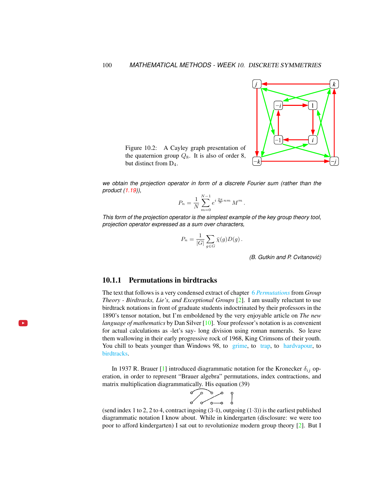

<span id="page-5-0"></span>Figure 10.2: A Cayley graph presentation of the quaternion group  $Q_8$ . It is also of order 8, but distinct from D4.

*we obtain the projection operator in form of a discrete Fourier sum (rather than the product (1.19)),*

$$
P_n = \frac{1}{N} \sum_{m=0}^{N-1} e^{i \frac{2\pi}{N} nm} M^m.
$$

*This form of the projection operator is the simplest example of the key group theory tool, projection operator expressed as a sum over characters,*

$$
P_n = \frac{1}{|G|} \sum_{g \in G} \bar{\chi}(g) D(g) .
$$

*(B. Gutkin and P. Cvitanovic)´*

### 10.1.1 Permutations in birdtracks

The text that follows is a very condensed extract of chapter 6 *[Permutations](http://birdtracks.eu/version9.0/GroupTheory.pdf#section.6.1)* from *Group Theory - Birdtracks, Lie's, and Exceptional Groups* [\[2\]](#page-8-3). I am usually reluctant to use birdtrack notations in front of graduate students indoctrinated by their professors in the 1890's tensor notation, but I'm emboldened by the very enjoyable article on *The new language of mathematics* by Dan Silver [\[10\]](#page-9-2). Your professor's notation is as convenient for actual calculations as -let's say- long division using roman numerals. So leave them wallowing in their early progressive rock of 1968, King Crimsons of their youth. You chill to beats younger than Windows 98, to [grime,](https://www.youtube.com/watch?v=RqQGUJK7Na4) to [trap,](https://www.youtube.com/watch?v=i_kF4zLNKio) to [hardvapour,](https://antifurdigital.bandcamp.com/album/hardvapour-2) to [birdtracks.](https://www.youtube.com/watch?v=XMGbY1csVnI)

In 1937 R. Brauer [\[1\]](#page-8-4) introduced diagrammatic notation for the Kronecker  $\delta_{ij}$  operation, in order to represent "Brauer algebra" permutations, index contractions, and matrix multiplication diagrammatically. His equation (39)

$$
\begin{array}{c}\n\circ \\
\circ \\
\circ \\
\circ\n\end{array}
$$

(send index 1 to 2, 2 to 4, contract ingoing  $(3.4)$ , outgoing  $(1.3)$ ) is the earliest published diagrammatic notation I know about. While in kindergarten (disclosure: we were too poor to afford kindergarten) I sat out to revolutionize modern group theory [\[2\]](#page-8-3). But I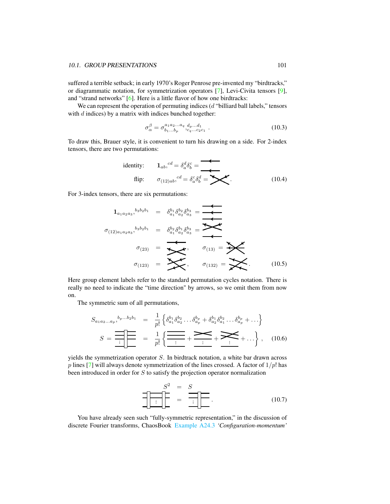suffered a terrible setback; in early 1970's Roger Penrose pre-invented my "birdtracks," or diagrammatic notation, for symmetrization operators [\[7\]](#page-9-3), Levi-Civita tensors [\[9\]](#page-9-4), and "strand networks" [\[6\]](#page-8-5). Here is a little flavor of how one birdtracks:

We can represent the operation of permuting indices  $(d$  "billiard ball labels," tensors with  $d$  indices) by a matrix with indices bunched together:

$$
\sigma_{\alpha}^{\beta} = \sigma_{b_1...b_p}^{a_1 a_2...a_q} \, d_{p...d_1}^{d_{p}...d_1} \tag{10.3}
$$

To draw this, Brauer style, it is convenient to turn his drawing on a side. For 2-index tensors, there are two permutations:

identity: 
$$
\mathbf{1}_{ab}
$$
,  ${}^{cd} = \delta_a^d \delta_b^c =$   
flip:  $\sigma_{(12)ab}$ ,  ${}^{cd} = \delta_a^c \delta_b^d =$   $\blacktriangleright$  (10.4)

For 3-index tensors, there are six permutations:

$$
1_{a_1 a_2 a_3},^{b_3 b_2 b_1} = \delta_{a_1}^{b_1} \delta_{a_2}^{b_2} \delta_{a_3}^{b_3} = \overbrace{\bullet \bullet}_{a_1}^{b_1} \delta_{a_2}^{b_3} \delta_{a_3}^{b_3} = \overbrace{\bullet \bullet}_{a_1}^{b_1} \delta_{a_2}^{b_3} \delta_{a_3}^{b_3} = \overbrace{\bullet \bullet}_{a_1}^{b_1} \overbrace{\bullet}_{a_2 a_3}^{b_3} = \overbrace{\bullet}_{a_3 a_3}^{b_2 b_1} = \overbrace{\bullet}_{a_1 a_2 a_3}^{b_1} \overbrace{\bullet}_{a_1 a_3 a_3}^{b_2 b_2 b_3} = \overbrace{\bullet}_{a_1 a_2 a_3}^{b_3} \overbrace{\bullet}_{a_1 a_2 a_3}^{b_3} = \overbrace{\bullet}_{a_1 a_2 a_3}^{b_3} \overbrace{\bullet}_{a_1 a_2 a_3}^{b_3} = \overbrace{\bullet}_{a_1 a_2 a_3}^{b_3} \overbrace{\bullet}_{a_1 a_2 a_3}^{b_3} = \overbrace{\bullet}_{a_1 a_2 a_3}^{b_3} \overbrace{\bullet}_{a_1 a_2 a_3}^{b_3} = \overbrace{\bullet}_{a_1 a_2 a_3}^{b_3} \overbrace{\bullet}_{a_1 a_2 a_3}^{b_3} = \overbrace{\bullet}_{a_1 a_2 a_3}^{b_3} \overbrace{\bullet}_{a_1 a_2 a_3}^{b_3} = \overbrace{\bullet}_{a_1 a_2 a_3}^{b_3} \overbrace{\bullet}_{a_1 a_2 a_3}^{b_3} = \overbrace{\bullet}_{a_1 a_2 a_3}^{b_3} \overbrace{\bullet}_{a_1 a_2 a_3}^{b_3} = \overbrace{\bullet}_{a_1 a_2 a_3}^{b_3} \overbrace{\bullet}_{a_1 a_2 a_3}^{b_3} = \overbrace{\bullet}_{a_1 a_2 a_3}^{b_3} \overbrace{\bullet}_{a_1 a_2 a_3}^{b_3} = \overbrace{\bullet}_{a_1 a_2 a_3}^{b_3} \overbrace{\bullet}_{a_1 a_2 a_3}^{b_3} = \overbrace{\bullet}_{a_1 a_2 a_3}^{b_3} \overbrace{\bullet}_{a_1 a_2 a
$$

Here group element labels refer to the standard permutation cycles notation. There is really no need to indicate the "time direction" by arrows, so we omit them from now on.

The symmetric sum of all permutations,

$$
S_{a_1 a_2 ... a_p},^{b_p...b_2 b_1} = \frac{1}{p!} \left\{ \delta_{a_1}^{b_1} \delta_{a_2}^{b_2} ... \delta_{a_p}^{b_p} + \delta_{a_2}^{b_1} \delta_{a_1}^{b_2} ... \delta_{a_p}^{b_p} + ... \right\}
$$

$$
S = \frac{1}{\frac{1}{p!} \left\{ \frac{1}{\frac{1}{p!} + \frac{1}{\frac{1}{p!} + \frac{1}{\frac{1}{p!} + \frac{1}{\cdots}}}} + \frac{1}{\frac{1}{p!} + \frac{1}{\cdots}} + \cdots \right\}, \quad (10.6)
$$

yields the symmetrization operator S. In birdtrack notation, a white bar drawn across p lines [\[7\]](#page-9-3) will always denote symmetrization of the lines crossed. A factor of  $1/p!$  has been introduced in order for S to satisfy the projection operator normalization

<sup>2</sup> = S S = . (10.7)

You have already seen such "fully-symmetric representation," in the discussion of discrete Fourier transforms, ChaosBook [Example A24.3](http://ChaosBook.org/chapters/ChaosBook.pdf#section.X.6) *'Configuration-momentum'*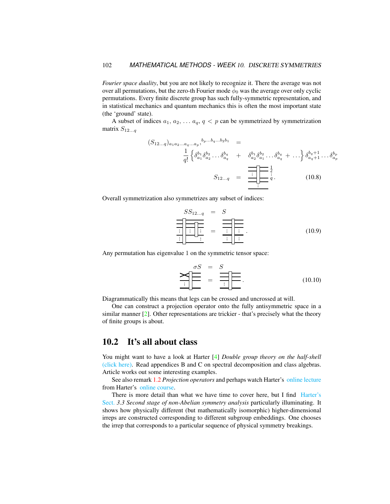*Fourier space duality*, but you are not likely to recognize it. There the average was not over all permutations, but the zero-th Fourier mode  $\bar{\phi}_0$  was the average over only cyclic permutations. Every finite discrete group has such fully-symmetric representation, and in statistical mechanics and quantum mechanics this is often the most important state (the 'ground' state).

A subset of indices  $a_1, a_2, \ldots a_q, q < p$  can be symmetrized by symmetrization matrix  $S_{12...q}$ 

$$
(S_{12...q})_{a_1 a_2 ... a_q ... a_p},^{b_p... b_q... b_2 b_1} =
$$
  

$$
\frac{1}{q!} \left\{ \delta_{a_1}^{b_1} \delta_{a_2}^{b_2} ... \delta_{a_q}^{b_q} + \delta_{a_2}^{b_1} \delta_{a_1}^{b_2} ... \delta_{a_q}^{b_q} + ... \right\} \delta_{a_q+1}^{b_q+1} ... \delta_{a_p}^{b_p}
$$
  

$$
S_{12...q} = \frac{1}{\prod_{i=1}^{q} \left\{ \sum_{i=1}^{q} \delta_{a_i}^{b_i} \delta_{a_i}^{b_i} + ... \right\}} \delta_{a_q+1}^{b_q+1} ... \delta_{a_p}^{b_p}
$$
  
(10.8)

Overall symmetrization also symmetrizes any subset of indices:

$$
SS_{12...q} = S
$$
  
\n
$$
\frac{\frac{1}{\frac{1}{\frac{1}{\frac{1}{\frac{1}{\cdots}}}}\frac{\frac{1}{\cdots}}{\frac{1}{\cdots}}}}{\frac{\frac{1}{\cdots}}{\frac{1}{\cdots}}\frac{\frac{1}{\cdots}}{\cdots}}.
$$
(10.9)

Any permutation has eigenvalue 1 on the symmetric tensor space:

$$
\sum_{i} \frac{\sigma S}{\prod_{i}} = \sum_{i} \frac{S}{\prod_{i}}.
$$
 (10.10)

Diagrammatically this means that legs can be crossed and uncrossed at will.

One can construct a projection operator onto the fully antisymmetric space in a similar manner [\[2\]](#page-8-3). Other representations are trickier - that's precisely what the theory of finite groups is about.

## 10.2 It's all about class

You might want to have a look at Harter [\[4\]](#page-8-2) *Double group theory on the half-shell* [\(click here\).](http://ChaosBook.org/library/Harter78.pdf) Read appendices B and C on spectral decomposition and class algebras. Article works out some interesting examples.

See also remark 1.2 *Projection operators* and perhaps watch Harter's [online lecture](https://www.youtube.com/watch?v=jLO7-Pks0QM) from Harter's [online course.](http://www.uark.edu/ua/modphys/markup/GTQM_TitlePage_2015.html)

There is more detail than what we have time to cover here, but I find [Harter's](http://www.uark.edu/ua/modphys/markup/PSDS_UnitsForceDL.php?fname=PSDS_Ch.3_(4.22.10).pdf) [Sect.](http://www.uark.edu/ua/modphys/markup/PSDS_UnitsForceDL.php?fname=PSDS_Ch.3_(4.22.10).pdf) *3.3 Second stage of non-Abelian symmetry analysis* particularly illuminating. It shows how physically different (but mathematically isomorphic) higher-dimensional irreps are constructed corresponding to different subgroup embeddings. One chooses the irrep that corresponds to a particular sequence of physical symmetry breakings.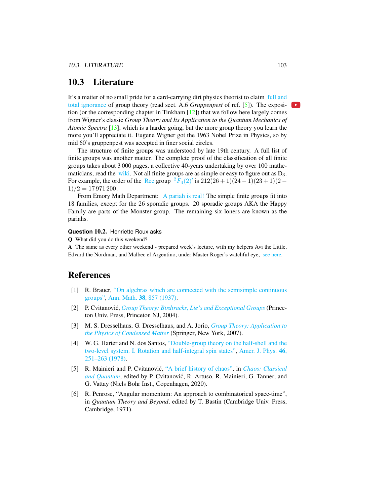# <span id="page-8-0"></span>10.3 Literature

It's a matter of no small pride for a card-carrying dirt physics theorist to claim [full and](https://www.youtube.com/embed/CvuoY_yPZeM) [total ignorance](https://www.youtube.com/embed/CvuoY_yPZeM) of group theory (read sect. A.6 *Gruppenpest* of ref. [\[5\]](#page-8-6)). The exposition (or the corresponding chapter in Tinkham  $[12]$ ) that we follow here largely comes from Wigner's classic *Group Theory and Its Application to the Quantum Mechanics of Atomic Spectra* [\[13\]](#page-9-6), which is a harder going, but the more group theory you learn the more you'll appreciate it. Eugene Wigner got the 1963 Nobel Prize in Physics, so by mid 60's gruppenpest was accepted in finer social circles.

The structure of finite groups was understood by late 19th century. A full list of finite groups was another matter. The complete proof of the classification of all finite groups takes about 3 000 pages, a collective 40-years undertaking by over 100 mathematicians, read the [wiki.](https://en.wikipedia.org/wiki/Classification_of_finite_simple_groups) Not all finite groups are as simple or easy to figure out as  $D_3$ . For example, the order of the [Ree](https://en.wikipedia.org/wiki/List_of_finite_simple_groups) group  ${}^{2}F_{4}(2)'$  ${}^{2}F_{4}(2)'$  ${}^{2}F_{4}(2)'$  is  $212(26+1)(24-1)(23+1)(2 1)/2 = 17971200$ .

From Emory Math Department: [A pariah is real!](https://cosmosmagazine.com/mathematics/moonshine-doughnut-maths-proves-pariahs-are-real) The simple finite groups fit into 18 families, except for the 26 sporadic groups. 20 sporadic groups AKA the Happy Family are parts of the Monster group. The remaining six loners are known as the pariahs.

#### **Question** 10.2. Henriette Roux asks

Q What did you do this weekend?

A The same as every other weekend - prepared week's lecture, with my helpers Avi the Little, Edvard the Nordman, and Malbec el Argentino, under Master Roger's watchful eye, [see here.](https://flic.kr/p/2hxYHTx)

# References

- <span id="page-8-4"></span>[1] R. Brauer, ["On algebras which are connected with the semisimple continuous](http://dx.doi.org/10.2307/1968843) [groups",](http://dx.doi.org/10.2307/1968843) Ann. Math. 38[, 857 \(1937\).](https://doi.org/10.2307/1968843)
- <span id="page-8-3"></span>[2] P. Cvitanović, *[Group Theory: Birdtracks, Lie's and Exceptional Groups](https://press.princeton.edu/titles/8839.html)* (Princeton Univ. Press, Princeton NJ, 2004).
- <span id="page-8-1"></span>[3] M. S. Dresselhaus, G. Dresselhaus, and A. Jorio, *[Group Theory: Application to](http://dx.doi.org/10.1007/978-3-540-32899-5) [the Physics of Condensed Matter](http://dx.doi.org/10.1007/978-3-540-32899-5)* (Springer, New York, 2007).
- <span id="page-8-2"></span>[4] W. G. Harter and N. dos Santos, ["Double-group theory on the half-shell and the](http://dx.doi.org/10.1119/1.11134) [two-level system. I. Rotation and half-integral spin states",](http://dx.doi.org/10.1119/1.11134) [Amer. J. Phys.](https://doi.org/10.1119/1.11134) 46, [251–263 \(1978\).](https://doi.org/10.1119/1.11134)
- <span id="page-8-6"></span>[5] R. Mainieri and P. Cvitanovic,´ ["A brief history of chaos",](http://ChaosBook.org/paper.shtml#appendHist) in *[Chaos: Classical](http://ChaosBook.org/paper.shtml#appendHist)* [and Quantum](http://ChaosBook.org/paper.shtml#appendHist), edited by P. Cvitanović, R. Artuso, R. Mainieri, G. Tanner, and G. Vattay (Niels Bohr Inst., Copenhagen, 2020).
- <span id="page-8-5"></span>[6] R. Penrose, "Angular momentum: An approach to combinatorical space-time", in *Quantum Theory and Beyond*, edited by T. Bastin (Cambridge Univ. Press, Cambridge, 1971).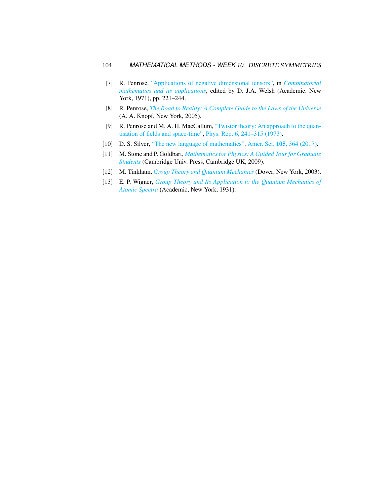- <span id="page-9-3"></span>[7] R. Penrose, ["Applications of negative dimensional tensors",](http://homepages.math.uic.edu/~kauffman/Penrose.pdf) in *[Combinatorial](http://homepages.math.uic.edu/~kauffman/Penrose.pdf) [mathematics and its applications](http://homepages.math.uic.edu/~kauffman/Penrose.pdf)*, edited by D. J.A. Welsh (Academic, New York, 1971), pp. 221–244.
- <span id="page-9-0"></span>[8] R. Penrose, *[The Road to Reality: A Complete Guide to the Laws of the Universe](http://books.google.com/books?vid=ISBN9781446418208)* (A. A. Knopf, New York, 2005).
- <span id="page-9-4"></span>[9] R. Penrose and M. A. H. MacCallum, ["Twistor theory: An approach to the quan](http://dx.doi.org/10.1016/0370-1573(73)90008-2)[tisation of fields and space-time",](http://dx.doi.org/10.1016/0370-1573(73)90008-2) Phys. Rep. 6[, 241–315 \(1973\).](https://doi.org/10.1016/0370-1573(73)90008-2)
- <span id="page-9-2"></span>[10] D. S. Silver, ["The new language of mathematics",](http://dx.doi.org/10.1511/2017.105.6.364) Amer. Sci. 105[, 364 \(2017\).](https://doi.org/10.1511/2017.105.6.364)
- <span id="page-9-1"></span>[11] M. Stone and P. Goldbart, *[Mathematics for Physics: A Guided Tour for Graduate](http://dx.doi.org/10.1017/cbo9780511627040) [Students](http://dx.doi.org/10.1017/cbo9780511627040)* (Cambridge Univ. Press, Cambridge UK, 2009).
- <span id="page-9-5"></span>[12] M. Tinkham, *[Group Theory and Quantum Mechanics](http://dx.doi.org/10.1016/c2013-0-01646-5)* (Dover, New York, 2003).
- <span id="page-9-6"></span>[13] E. P. Wigner, *[Group Theory and Its Application to the Quantum Mechanics of](http://books.google.com/books?vid=ISBN9780323152785) [Atomic Spectra](http://books.google.com/books?vid=ISBN9780323152785)* (Academic, New York, 1931).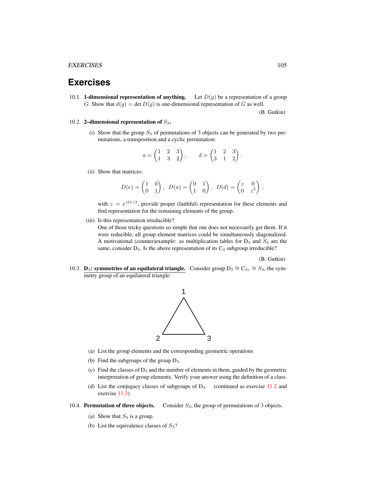# **Exercises**

<span id="page-10-0"></span>10.1. **1-dimensional representation of anything.** Let  $D(g)$  be a representation of a group G. Show that  $d(g) = \det D(g)$  is one-dimensional representation of G as well.

<span id="page-10-1"></span>10.2. 2-dimensional representation of  $S_3$ .

(i) Show that the group  $S_3$  of permutations of 3 objects can be generated by two permutations, a transposition and a cyclic permutation:

$$
a = \begin{pmatrix} 1 & 2 & 3 \\ 1 & 3 & 2 \end{pmatrix}, \qquad d = \begin{pmatrix} 1 & 2 & 3 \\ 3 & 1 & 2 \end{pmatrix}.
$$

(ii) Show that matrices:

$$
D(e) = \begin{pmatrix} 1 & 0 \\ 0 & 1 \end{pmatrix}, \ D(a) = \begin{pmatrix} 0 & 1 \\ 1 & 0 \end{pmatrix}, \ D(d) = \begin{pmatrix} z & 0 \\ 0 & z^2 \end{pmatrix},
$$

with  $z = e^{i2\pi/3}$ , provide proper (faithful) representation for these elements and find representation for the remaining elements of the group.

(iii) Is this representation irreducible?

One of those tricky questions so simple that one does not necessarily get them. If it were reducible, all group element matrices could be simultaneously diagonalized. A motivational (counter)example: as multiplication tables for  $D_3$  and  $S_3$  are the same, consider  $D_3$ . Is the above representation of its  $C_3$  subgroup irreducible?

(B. Gutkin)

<span id="page-10-2"></span>10.3. **D<sub>3</sub>: symmetries of an equilateral triangle.** Consider group D<sub>3</sub>  $\cong$  C<sub>3v</sub>  $\cong$  S<sub>3</sub>, the symmetry group of an equilateral triangle:



- (a) List the group elements and the corresponding geometric operations
- (b) Find the subgroups of the group  $D_3$ .
- (c) Find the classes of  $D_3$  and the number of elements in them, guided by the geometric interpretation of group elements. Verify your answer using the definition of a class.
- (d) List the conjugacy classes of subgroups of  $D_3$ . (continued as exercise 11.2 and exercise 11.3)
- <span id="page-10-3"></span>10.4. **Permutation of three objects.** Consider  $S_3$ , the group of permutations of 3 objects.
	- (a) Show that  $S_3$  is a group.
	- (b) List the equivalence classes of  $S_3$ ?

(B. Gutkin)